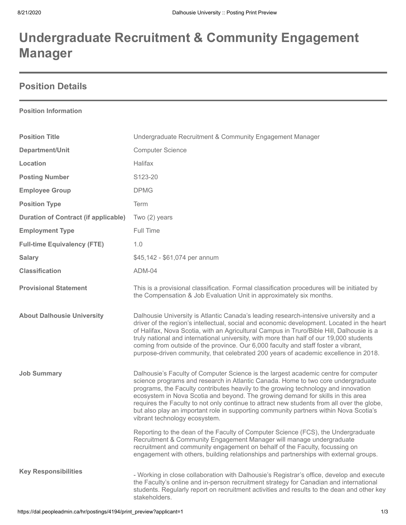# **Undergraduate Recruitment & Community Engagement Manager**

## **Position Details**

### **Position Information**

| <b>Position Title</b>                       | Undergraduate Recruitment & Community Engagement Manager                                                                                                                                                                                                                                                                                                                                                                                                                                                                                                                 |
|---------------------------------------------|--------------------------------------------------------------------------------------------------------------------------------------------------------------------------------------------------------------------------------------------------------------------------------------------------------------------------------------------------------------------------------------------------------------------------------------------------------------------------------------------------------------------------------------------------------------------------|
| Department/Unit                             | <b>Computer Science</b>                                                                                                                                                                                                                                                                                                                                                                                                                                                                                                                                                  |
| Location                                    | Halifax                                                                                                                                                                                                                                                                                                                                                                                                                                                                                                                                                                  |
| <b>Posting Number</b>                       | S123-20                                                                                                                                                                                                                                                                                                                                                                                                                                                                                                                                                                  |
| <b>Employee Group</b>                       | <b>DPMG</b>                                                                                                                                                                                                                                                                                                                                                                                                                                                                                                                                                              |
| <b>Position Type</b>                        | Term                                                                                                                                                                                                                                                                                                                                                                                                                                                                                                                                                                     |
| <b>Duration of Contract (if applicable)</b> | Two $(2)$ years                                                                                                                                                                                                                                                                                                                                                                                                                                                                                                                                                          |
| <b>Employment Type</b>                      | Full Time                                                                                                                                                                                                                                                                                                                                                                                                                                                                                                                                                                |
| <b>Full-time Equivalency (FTE)</b>          | 1.0                                                                                                                                                                                                                                                                                                                                                                                                                                                                                                                                                                      |
| <b>Salary</b>                               | \$45,142 - \$61,074 per annum                                                                                                                                                                                                                                                                                                                                                                                                                                                                                                                                            |
| <b>Classification</b>                       | ADM-04                                                                                                                                                                                                                                                                                                                                                                                                                                                                                                                                                                   |
| <b>Provisional Statement</b>                | This is a provisional classification. Formal classification procedures will be initiated by<br>the Compensation & Job Evaluation Unit in approximately six months.                                                                                                                                                                                                                                                                                                                                                                                                       |
| <b>About Dalhousie University</b>           | Dalhousie University is Atlantic Canada's leading research-intensive university and a<br>driver of the region's intellectual, social and economic development. Located in the heart<br>of Halifax, Nova Scotia, with an Agricultural Campus in Truro/Bible Hill, Dalhousie is a<br>truly national and international university, with more than half of our 19,000 students<br>coming from outside of the province. Our 6,000 faculty and staff foster a vibrant,<br>purpose-driven community, that celebrated 200 years of academic excellence in 2018.                  |
| <b>Job Summary</b>                          | Dalhousie's Faculty of Computer Science is the largest academic centre for computer<br>science programs and research in Atlantic Canada. Home to two core undergraduate<br>programs, the Faculty contributes heavily to the growing technology and innovation<br>ecosystem in Nova Scotia and beyond. The growing demand for skills in this area<br>requires the Faculty to not only continue to attract new students from all over the globe,<br>but also play an important role in supporting community partners within Nova Scotia's<br>vibrant technology ecosystem. |
|                                             | Reporting to the dean of the Faculty of Computer Science (FCS), the Undergraduate<br>Recruitment & Community Engagement Manager will manage undergraduate<br>recruitment and community engagement on behalf of the Faculty, focussing on<br>engagement with others, building relationships and partnerships with external groups.                                                                                                                                                                                                                                        |
| <b>Key Responsibilities</b>                 | - Working in close collaboration with Dalhousie's Registrar's office, develop and execute<br>the Faculty's online and in-person recruitment strategy for Canadian and international<br>students. Regularly report on recruitment activities and results to the dean and other key<br>stakeholders.                                                                                                                                                                                                                                                                       |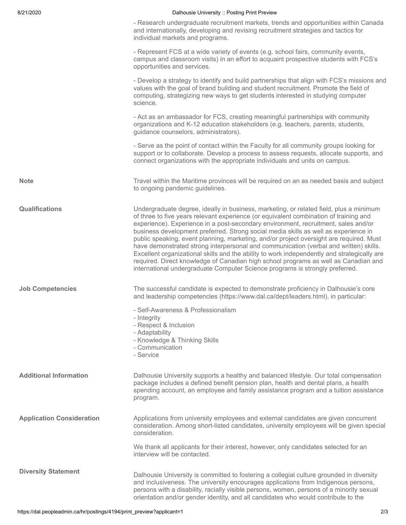#### 8/21/2020 **Dalhousie University :: Posting Print Preview**

| - Research undergraduate recruitment markets, trends and opportunities within Canada |
|--------------------------------------------------------------------------------------|
| and internationally, developing and revising recruitment strategies and tactics for  |
| individual markets and programs.                                                     |

- Represent FCS at a wide variety of events (e.g. school fairs, community events, campus and classroom visits) in an effort to acquaint prospective students with FCS's opportunities and services.

- Develop a strategy to identify and build partnerships that align with FCS's missions and values with the goal of brand building and student recruitment. Promote the field of computing, strategizing new ways to get students interested in studying computer science.

- Act as an ambassador for FCS, creating meaningful partnerships with community organizations and K-12 education stakeholders (e.g. teachers, parents, students, guidance counselors, administrators).

- Serve as the point of contact within the Faculty for all community groups looking for support or to collaborate. Develop a process to assess requests, allocate supports, and connect organizations with the appropriate individuals and units on campus.

**Note** Travel within the Maritime provinces will be required on an as needed basis and subject to ongoing pandemic guidelines.

**Qualifications** Undergraduate degree, ideally in business, marketing, or related field, plus a minimum of three to five years relevant experience (or equivalent combination of training and experience). Experience in a post-secondary environment, recruitment, sales and/or business development preferred. Strong social media skills as well as experience in public speaking, event planning, marketing, and/or project oversight are required. Must have demonstrated strong interpersonal and communication (verbal and written) skills. Excellent organizational skills and the ability to work independently and strategically are required. Direct knowledge of Canadian high school programs as well as Canadian and international undergraduate Computer Science programs is strongly preferred.

**Job Competencies** The successful candidate is expected to demonstrate proficiency in Dalhousie's core and leadership competencies (https://www.dal.ca/dept/leaders.html), in particular:

- Self-Awareness & Professionalism
- Integrity
- Respect & Inclusion
- Adaptability
- Knowledge & Thinking Skills
- Communication
- Service

**Additional Information** Dalhousie University supports a healthy and balanced lifestyle. Our total compensation package includes a defined benefit pension plan, health and dental plans, a health spending account, an employee and family assistance program and a tuition assistance program.

**Application Consideration** Applications from university employees and external candidates are given concurrent consideration. Among short-listed candidates, university employees will be given special consideration.

> We thank all applicants for their interest, however, only candidates selected for an interview will be contacted.

**Diversity Statement** Dalhousie University is committed to fostering a collegial culture grounded in diversity and inclusiveness. The university encourages applications from Indigenous persons, persons with a disability, racially visible persons, women, persons of a minority sexual orientation and/or gender identity, and all candidates who would contribute to the